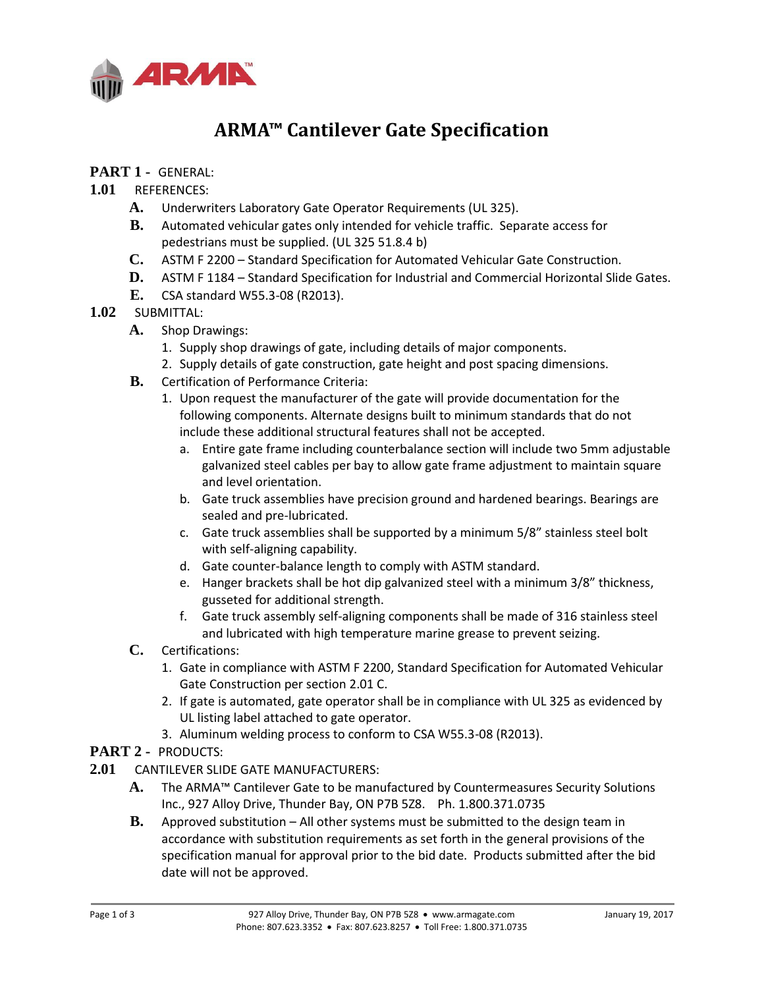

# **ARMA™ Cantilever Gate Specification**

## **PART 1 -** GENERAL:

## **1.01** REFERENCES:

- **A.** Underwriters Laboratory Gate Operator Requirements (UL 325).
- **B.** Automated vehicular gates only intended for vehicle traffic. Separate access for pedestrians must be supplied. (UL 325 51.8.4 b)
- **C.** ASTM F 2200 Standard Specification for Automated Vehicular Gate Construction.
- **D.** ASTM F 1184 Standard Specification for Industrial and Commercial Horizontal Slide Gates.
- **E.** CSA standard W55.3-08 (R2013).

#### **1.02** SUBMITTAL:

- **A.** Shop Drawings:
	- 1. Supply shop drawings of gate, including details of major components.
	- 2. Supply details of gate construction, gate height and post spacing dimensions.
- **B.** Certification of Performance Criteria:
	- 1. Upon request the manufacturer of the gate will provide documentation for the following components. Alternate designs built to minimum standards that do not include these additional structural features shall not be accepted.
		- a. Entire gate frame including counterbalance section will include two 5mm adjustable galvanized steel cables per bay to allow gate frame adjustment to maintain square and level orientation.
		- b. Gate truck assemblies have precision ground and hardened bearings. Bearings are sealed and pre-lubricated.
		- c. Gate truck assemblies shall be supported by a minimum 5/8" stainless steel bolt with self-aligning capability.
		- d. Gate counter-balance length to comply with ASTM standard.
		- e. Hanger brackets shall be hot dip galvanized steel with a minimum 3/8" thickness, gusseted for additional strength.
		- f. Gate truck assembly self-aligning components shall be made of 316 stainless steel and lubricated with high temperature marine grease to prevent seizing.
- **C.** Certifications:
	- 1. Gate in compliance with ASTM F 2200, Standard Specification for Automated Vehicular Gate Construction per section 2.01 C.
	- 2. If gate is automated, gate operator shall be in compliance with UL 325 as evidenced by UL listing label attached to gate operator.
	- 3. Aluminum welding process to conform to CSA W55.3-08 (R2013).

#### **PART 2 -** PRODUCTS:

- **2.01** CANTILEVER SLIDE GATE MANUFACTURERS:
	- **A.** The ARMA™ Cantilever Gate to be manufactured by Countermeasures Security Solutions Inc., 927 Alloy Drive, Thunder Bay, ON P7B 5Z8. Ph. 1.800.371.0735
	- **B.** Approved substitution All other systems must be submitted to the design team in accordance with substitution requirements as set forth in the general provisions of the specification manual for approval prior to the bid date. Products submitted after the bid date will not be approved.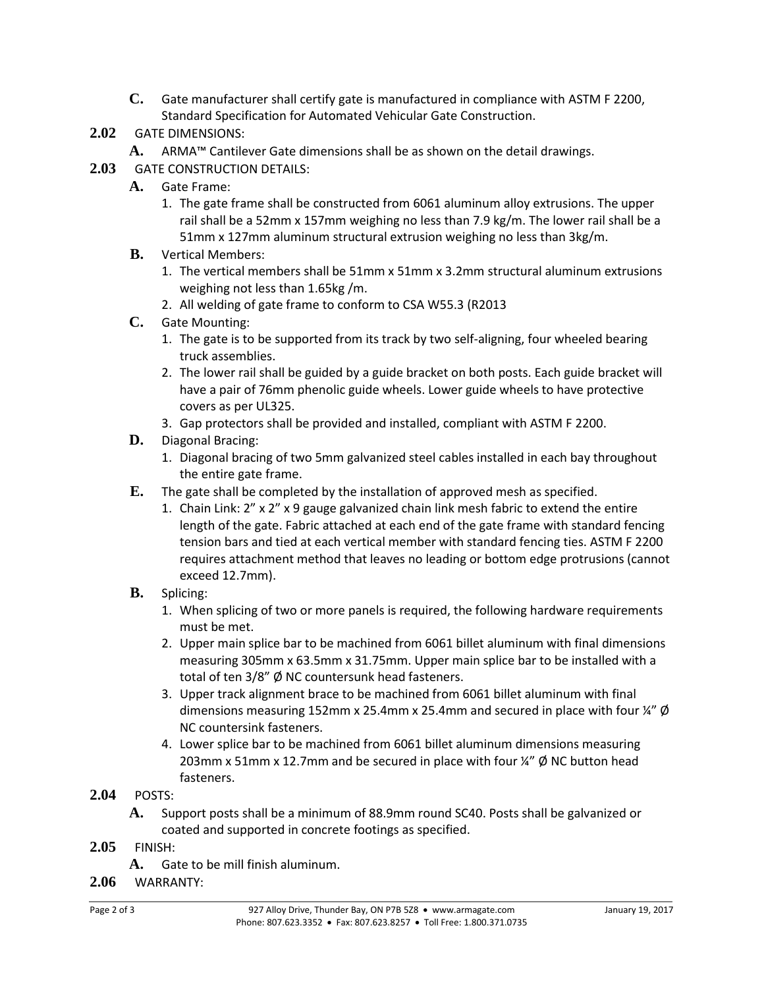**C.** Gate manufacturer shall certify gate is manufactured in compliance with ASTM F 2200, Standard Specification for Automated Vehicular Gate Construction.

# **2.02** GATE DIMENSIONS:

- **A.** ARMA™ Cantilever Gate dimensions shall be as shown on the detail drawings.
- **2.03** GATE CONSTRUCTION DETAILS:
	- **A.** Gate Frame:
		- 1. The gate frame shall be constructed from 6061 aluminum alloy extrusions. The upper rail shall be a 52mm x 157mm weighing no less than 7.9 kg/m. The lower rail shall be a 51mm x 127mm aluminum structural extrusion weighing no less than 3kg/m.
	- **B.** Vertical Members:
		- 1. The vertical members shall be 51mm x 51mm x 3.2mm structural aluminum extrusions weighing not less than 1.65kg /m.
		- 2. All welding of gate frame to conform to CSA W55.3 (R2013
	- **C.** Gate Mounting:
		- 1. The gate is to be supported from its track by two self-aligning, four wheeled bearing truck assemblies.
		- 2. The lower rail shall be guided by a guide bracket on both posts. Each guide bracket will have a pair of 76mm phenolic guide wheels. Lower guide wheels to have protective covers as per UL325.
		- 3. Gap protectors shall be provided and installed, compliant with ASTM F 2200.
	- **D.** Diagonal Bracing:
		- 1. Diagonal bracing of two 5mm galvanized steel cables installed in each bay throughout the entire gate frame.
	- **E.** The gate shall be completed by the installation of approved mesh as specified.
		- 1. Chain Link: 2" x 2" x 9 gauge galvanized chain link mesh fabric to extend the entire length of the gate. Fabric attached at each end of the gate frame with standard fencing tension bars and tied at each vertical member with standard fencing ties. ASTM F 2200 requires attachment method that leaves no leading or bottom edge protrusions (cannot exceed 12.7mm).
	- **B.** Splicing:
		- 1. When splicing of two or more panels is required, the following hardware requirements must be met.
		- 2. Upper main splice bar to be machined from 6061 billet aluminum with final dimensions measuring 305mm x 63.5mm x 31.75mm. Upper main splice bar to be installed with a total of ten 3/8" Ø NC countersunk head fasteners.
		- 3. Upper track alignment brace to be machined from 6061 billet aluminum with final dimensions measuring 152mm x 25.4mm x 25.4mm and secured in place with four  $\frac{1}{4}$ "  $\phi$ NC countersink fasteners.
		- 4. Lower splice bar to be machined from 6061 billet aluminum dimensions measuring 203mm x 51mm x 12.7mm and be secured in place with four  $\frac{1}{4}$  Ø NC button head fasteners.
- **2.04** POSTS:
	- **A.** Support posts shall be a minimum of 88.9mm round SC40. Posts shall be galvanized or coated and supported in concrete footings as specified.
- **2.05** FINISH:
	- **A.** Gate to be mill finish aluminum.
- **2.06** WARRANTY: